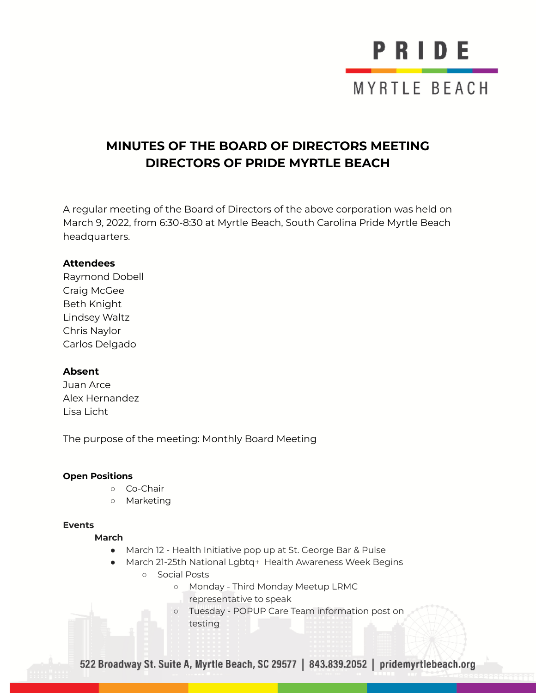# PRIDE MYRTLE BEACH

### **MINUTES OF THE BOARD OF DIRECTORS MEETING DIRECTORS OF PRIDE MYRTLE BEACH**

A regular meeting of the Board of Directors of the above corporation was held on March 9, 2022, from 6:30-8:30 at Myrtle Beach, South Carolina Pride Myrtle Beach headquarters.

#### **Attendees**

Raymond Dobell Craig McGee Beth Knight Lindsey Waltz Chris Naylor Carlos Delgado

#### **Absent**

Juan Arce Alex Hernandez Lisa Licht

The purpose of the meeting: Monthly Board Meeting

#### **Open Positions**

- Co-Chair
- Marketing

#### **Events**

#### **March**

- March 12 Health Initiative pop up at St. George Bar & Pulse
- March 21-25th National Lgbtq+ Health Awareness Week Begins
	- Social Posts
		- Monday Third Monday Meetup LRMC
			- representative to speak
		- Tuesday POPUP Care Team information post on testing

522 Broadway St. Suite A, Myrtle Beach, SC 29577 | 843.839.2052 | pridemyrtlebeach.org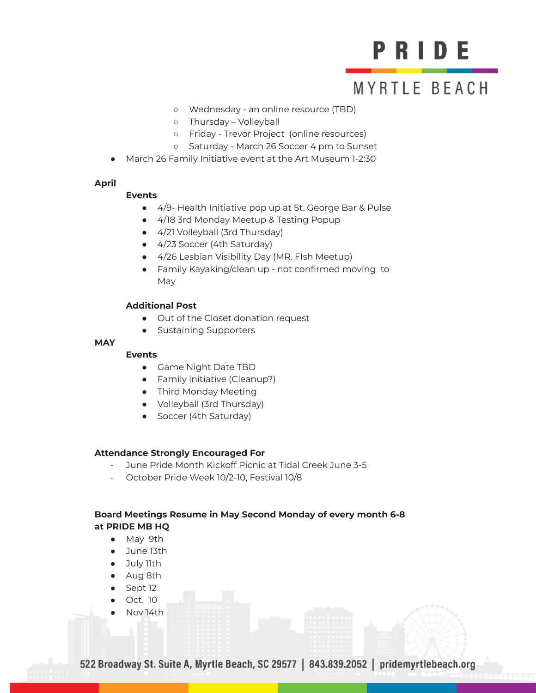## PRIDE

### **MYRTLE BEACH**

- Wednesday an online resource (TBD)
- Thursday Volleyball
- Friday Trevor Project (online resources)
- Saturday March 26 Soccer 4 pm to Sunset
- March 26 Family Initiative event at the Art Museum 1-2:30

#### **April**

#### **Events**

- 4/9- Health Initiative pop up at St. George Bar & Pulse
- 4/18 3rd Monday Meetup & Testing Popup
- 4/21 Volleyball (3rd Thursday)
- 4/23 Soccer (4th Saturday)
- 4/26 Lesbian Visibility Day (MR. FIsh Meetup)
- Family Kayaking/clean up not confirmed moving to May

#### **Additional Post**

- Out of the Closet donation request
- Sustaining Supporters

#### **MAY**

#### **Events**

- Game Night Date TBD
- Family initiative (Cleanup?)
- Third Monday Meeting
- Volleyball (3rd Thursday)
- Soccer (4th Saturday)

#### **Attendance Strongly Encouraged For**

- June Pride Month Kickoff Picnic at Tidal Creek June 3-5
- October Pride Week 10/2-10, Festival 10/8

#### **Board Meetings Resume in May Second Monday of every month 6-8 at PRIDE MB HQ**

- May 9th
- June 13th
- July 11th
- Aug 8th
- Sept 12
- Oct. 10
- Nov 14th

522 Broadway St. Suite A, Myrtle Beach, SC 29577 | 843.839.2052 | pridemyrtlebeach.org